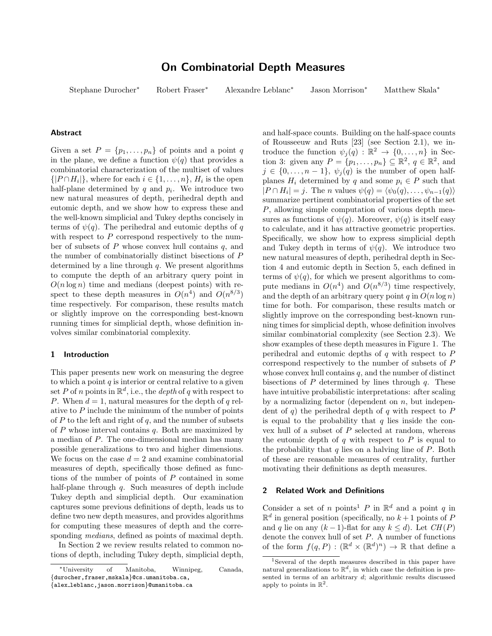# On Combinatorial Depth Measures

Stephane Durocher<sup>∗</sup> Robert Fraser<sup>∗</sup> Alexandre Leblanc<sup>∗</sup> Jason Morrison<sup>∗</sup> Matthew Skala<sup>∗</sup>

# Abstract

Given a set  $P = \{p_1, \ldots, p_n\}$  of points and a point q in the plane, we define a function  $\psi(q)$  that provides a combinatorial characterization of the multiset of values  $\{|P \cap H_i|\}$ , where for each  $i \in \{1, \ldots, n\}$ ,  $H_i$  is the open half-plane determined by  $q$  and  $p_i$ . We introduce two new natural measures of depth, perihedral depth and eutomic depth, and we show how to express these and the well-known simplicial and Tukey depths concisely in terms of  $\psi(q)$ . The perihedral and eutomic depths of q with respect to  $P$  correspond respectively to the number of subsets of  $P$  whose convex hull contains  $q$ , and the number of combinatorially distinct bisections of P determined by a line through  $q$ . We present algorithms to compute the depth of an arbitrary query point in  $O(n \log n)$  time and medians (deepest points) with respect to these depth measures in  $O(n^4)$  and  $O(n^{8/3})$ time respectively. For comparison, these results match or slightly improve on the corresponding best-known running times for simplicial depth, whose definition involves similar combinatorial complexity.

### 1 Introduction

This paper presents new work on measuring the degree to which a point  $q$  is interior or central relative to a given set P of n points in  $\mathbb{R}^d$ , i.e., the depth of q with respect to P. When  $d = 1$ , natural measures for the depth of q relative to  $P$  include the minimum of the number of points of  $P$  to the left and right of  $q$ , and the number of subsets of  $P$  whose interval contains  $q$ . Both are maximized by a median of P. The one-dimensional median has many possible generalizations to two and higher dimensions. We focus on the case  $d = 2$  and examine combinatorial measures of depth, specifically those defined as functions of the number of points of P contained in some half-plane through  $q$ . Such measures of depth include Tukey depth and simplicial depth. Our examination captures some previous definitions of depth, leads us to define two new depth measures, and provides algorithms for computing these measures of depth and the corresponding *medians*, defined as points of maximal depth.

In Section 2 we review results related to common notions of depth, including Tukey depth, simplicial depth, and half-space counts. Building on the half-space counts of Rousseeuw and Ruts [23] (see Section 2.1), we introduce the function  $\psi_j(q) : \mathbb{R}^2 \to \{0, \ldots, n\}$  in Section 3: given any  $P = \{p_1, \ldots, p_n\} \subseteq \mathbb{R}^2$ ,  $q \in \mathbb{R}^2$ , and  $j \in \{0, \ldots, n-1\}, \ \psi_j(q)$  is the number of open halfplanes  $H_i$  determined by q and some  $p_i \in P$  such that  $|P \cap H_i| = j$ . The *n* values  $\psi(q) = \langle \psi_0(q), \dots, \psi_{n-1}(q) \rangle$ summarize pertinent combinatorial properties of the set P, allowing simple computation of various depth measures as functions of  $\psi(q)$ . Moreover,  $\psi(q)$  is itself easy to calculate, and it has attractive geometric properties. Specifically, we show how to express simplicial depth and Tukey depth in terms of  $\psi(q)$ . We introduce two new natural measures of depth, perihedral depth in Section 4 and eutomic depth in Section 5, each defined in terms of  $\psi(q)$ , for which we present algorithms to compute medians in  $O(n^4)$  and  $O(n^{8/3})$  time respectively, and the depth of an arbitrary query point  $q$  in  $O(n \log n)$ time for both. For comparison, these results match or slightly improve on the corresponding best-known running times for simplicial depth, whose definition involves similar combinatorial complexity (see Section 2.3). We show examples of these depth measures in Figure 1. The perihedral and eutomic depths of  $q$  with respect to  $P$ correspond respectively to the number of subsets of P whose convex hull contains  $q$ , and the number of distinct bisections of  $P$  determined by lines through  $q$ . These have intuitive probabilistic interpretations: after scaling by a normalizing factor (dependent on  $n$ , but independent of  $q$ ) the perihedral depth of  $q$  with respect to  $P$ is equal to the probability that  $q$  lies inside the convex hull of a subset of P selected at random, whereas the eutomic depth of  $q$  with respect to  $P$  is equal to the probability that  $q$  lies on a halving line of  $P$ . Both of these are reasonable measures of centrality, further motivating their definitions as depth measures.

# 2 Related Work and Definitions

Consider a set of n points<sup>1</sup> P in  $\mathbb{R}^d$  and a point q in  $\mathbb{R}^d$  in general position (specifically, no  $k+1$  points of P and q lie on any  $(k-1)$ -flat for any  $k \leq d$ ). Let  $CH(P)$ denote the convex hull of set  $P$ . A number of functions of the form  $f(q, P) : (\mathbb{R}^d \times (\mathbb{R}^d)^n) \to \mathbb{R}$  that define a

<sup>∗</sup>University of Manitoba, Winnipeg, Canada, {durocher,fraser,mskala}@cs.umanitoba.ca,

<sup>{</sup>alex leblanc,jason.morrison}@umanitoba.ca

<sup>1</sup>Several of the depth measures described in this paper have natural generalizations to  $\mathbb{R}^d$ , in which case the definition is presented in terms of an arbitrary d; algorithmic results discussed apply to points in  $\mathbb{R}^2$ .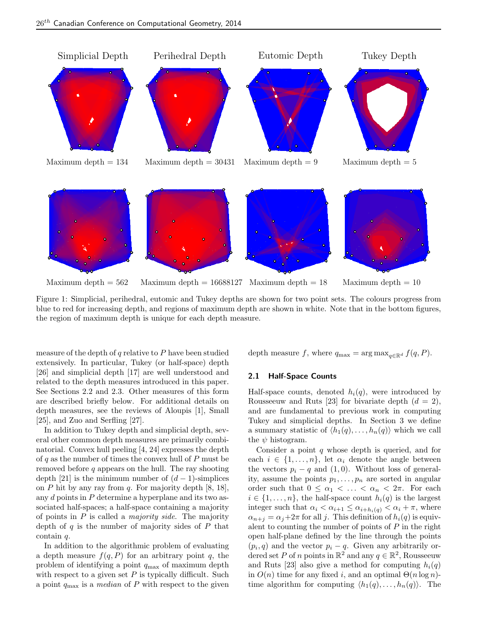

Figure 1: Simplicial, perihedral, eutomic and Tukey depths are shown for two point sets. The colours progress from blue to red for increasing depth, and regions of maximum depth are shown in white. Note that in the bottom figures, the region of maximum depth is unique for each depth measure.

measure of the depth of  $q$  relative to  $P$  have been studied extensively. In particular, Tukey (or half-space) depth [26] and simplicial depth [17] are well understood and related to the depth measures introduced in this paper. See Sections 2.2 and 2.3. Other measures of this form are described briefly below. For additional details on depth measures, see the reviews of Aloupis [1], Small [25], and Zuo and Serfling [27].

In addition to Tukey depth and simplicial depth, several other common depth measures are primarily combinatorial. Convex hull peeling [4, 24] expresses the depth of q as the number of times the convex hull of  $P$  must be removed before  $q$  appears on the hull. The ray shooting depth [21] is the minimum number of  $(d-1)$ -simplices on P hit by any ray from q. For majority depth  $[8, 18]$ , any  $d$  points in  $P$  determine a hyperplane and its two associated half-spaces; a half-space containing a majority of points in  $P$  is called a *majority side*. The majority depth of  $q$  is the number of majority sides of  $P$  that contain q.

In addition to the algorithmic problem of evaluating a depth measure  $f(q, P)$  for an arbitrary point q, the problem of identifying a point  $q_{\text{max}}$  of maximum depth with respect to a given set  $P$  is typically difficult. Such a point  $q_{\text{max}}$  is a *median* of P with respect to the given depth measure f, where  $q_{\text{max}} = \arg \max_{q \in \mathbb{R}^d} f(q, P)$ .

## 2.1 Half-Space Counts

Half-space counts, denoted  $h_i(q)$ , were introduced by Rousseeuw and Ruts [23] for bivariate depth  $(d = 2)$ , and are fundamental to previous work in computing Tukey and simplicial depths. In Section 3 we define a summary statistic of  $\langle h_1(q), \ldots, h_n(q) \rangle$  which we call the  $\psi$  histogram.

Consider a point  $q$  whose depth is queried, and for each  $i \in \{1, \ldots, n\}$ , let  $\alpha_i$  denote the angle between the vectors  $p_i - q$  and (1,0). Without loss of generality, assume the points  $p_1, \ldots, p_n$  are sorted in angular order such that  $0 \leq \alpha_1 < \ldots < \alpha_n < 2\pi$ . For each  $i \in \{1, \ldots, n\}$ , the half-space count  $h_i(q)$  is the largest integer such that  $\alpha_i < \alpha_{i+1} \leq \alpha_{i+h_i(q)} < \alpha_i + \pi$ , where  $\alpha_{n+i} = \alpha_i + 2\pi$  for all j. This definition of  $h_i(q)$  is equivalent to counting the number of points of  $P$  in the right open half-plane defined by the line through the points  $(p_i, q)$  and the vector  $p_i - q$ . Given any arbitrarily ordered set P of n points in  $\mathbb{R}^2$  and any  $q \in \mathbb{R}^2$ , Rousseeuw and Ruts [23] also give a method for computing  $h_i(q)$ in  $O(n)$  time for any fixed i, and an optimal  $\Theta(n \log n)$ time algorithm for computing  $\langle h_1(q), \ldots, h_n(q) \rangle$ . The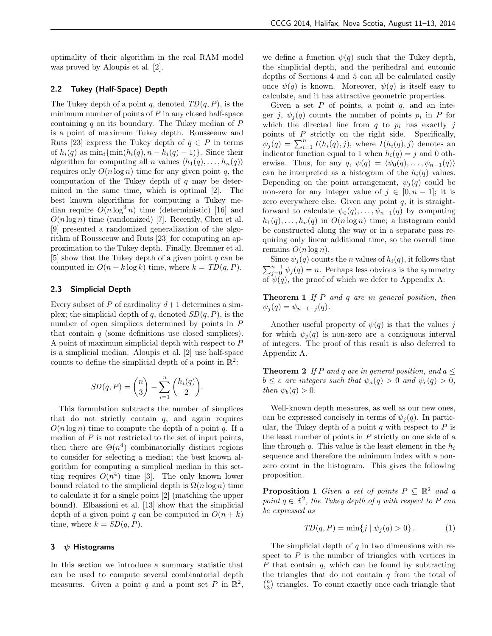optimality of their algorithm in the real RAM model was proved by Aloupis et al. [2].

## 2.2 Tukey (Half-Space) Depth

The Tukey depth of a point q, denoted  $TD(q, P)$ , is the minimum number of points of  $P$  in any closed half-space containing  $q$  on its boundary. The Tukey median of  $P$ is a point of maximum Tukey depth. Rousseeuw and Ruts [23] express the Tukey depth of  $q \in P$  in terms of  $h_i(q)$  as  $\min_i{\{\min(h_i(q), n - h_i(q) - 1)\}}$ . Since their algorithm for computing all *n* values  $\langle h_1(q), \ldots, h_n(q) \rangle$ requires only  $O(n \log n)$  time for any given point q, the computation of the Tukey depth of  $q$  may be determined in the same time, which is optimal [2]. The best known algorithms for computing a Tukey median require  $O(n \log^3 n)$  time (deterministic) [16] and  $O(n \log n)$  time (randomized) [7]. Recently, Chen et al. [9] presented a randomized generalization of the algorithm of Rousseeuw and Ruts [23] for computing an approximation to the Tukey depth. Finally, Bremner et al. [5] show that the Tukey depth of a given point  $q$  can be computed in  $O(n + k \log k)$  time, where  $k = TD(q, P)$ .

#### 2.3 Simplicial Depth

Every subset of P of cardinality  $d+1$  determines a simplex; the simplicial depth of q, denoted  $SD(q, P)$ , is the number of open simplices determined by points in P that contain  $q$  (some definitions use closed simplices). A point of maximum simplicial depth with respect to P is a simplicial median. Aloupis et al. [2] use half-space counts to define the simplicial depth of a point in  $\mathbb{R}^2$ :

$$
SD(q, P) = \binom{n}{3} - \sum_{i=1}^{n} \binom{h_i(q)}{2}.
$$

This formulation subtracts the number of simplices that do not strictly contain  $q$ , and again requires  $O(n \log n)$  time to compute the depth of a point q. If a median of  $P$  is not restricted to the set of input points, then there are  $\Theta(n^4)$  combinatorially distinct regions to consider for selecting a median; the best known algorithm for computing a simplical median in this setting requires  $O(n^4)$  time [3]. The only known lower bound related to the simplicial depth is  $\Omega(n \log n)$  time to calculate it for a single point [2] (matching the upper bound). Elbassioni et al. [13] show that the simplicial depth of a given point q can be computed in  $O(n + k)$ time, where  $k = SD(q, P)$ .

## 3  $\psi$  Histograms

In this section we introduce a summary statistic that can be used to compute several combinatorial depth measures. Given a point q and a point set P in  $\mathbb{R}^2$ , we define a function  $\psi(q)$  such that the Tukey depth, the simplicial depth, and the perihedral and eutomic depths of Sections 4 and 5 can all be calculated easily once  $\psi(q)$  is known. Moreover,  $\psi(q)$  is itself easy to calculate, and it has attractive geometric properties.

Given a set  $P$  of points, a point  $q$ , and an integer j,  $\psi_j(q)$  counts the number of points  $p_i$  in P for which the directed line from  $q$  to  $p_i$  has exactly j points of  $P$  strictly on the right side. Specifically,  $\hat{\psi}_j(q) = \sum_{i=1}^n I(h_i(q), j)$ , where  $I(h_i(q), j)$  denotes an indicator function equal to 1 when  $h_i(q) = j$  and 0 otherwise. Thus, for any  $q, \psi(q) = \langle \psi_0(q), \ldots, \psi_{n-1}(q) \rangle$ can be interpreted as a histogram of the  $h_i(q)$  values. Depending on the point arrangement,  $\psi_j(q)$  could be non-zero for any integer value of  $j \in [0, n-1]$ ; it is zero everywhere else. Given any point  $q$ , it is straightforward to calculate  $\psi_0(q), \ldots, \psi_{n-1}(q)$  by computing  $h_1(q), \ldots, h_n(q)$  in  $O(n \log n)$  time; a histogram could be constructed along the way or in a separate pass requiring only linear additional time, so the overall time remains  $O(n \log n)$ .

Since  $\psi_j(q)$  counts the *n* values of  $h_i(q)$ , it follows that  $\sum_{j=0}^{n-1} \psi_j(q) = n$ . Perhaps less obvious is the symmetry of  $\psi(q)$ , the proof of which we defer to Appendix A:

**Theorem 1** If  $P$  and  $q$  are in general position, then  $\psi_i(q) = \psi_{n-1-i}(q).$ 

Another useful property of  $\psi(q)$  is that the values j for which  $\psi_i(q)$  is non-zero are a contiguous interval of integers. The proof of this result is also deferred to Appendix A.

**Theorem 2** If P and q are in general position, and  $a \leq$  $b \leq c$  are integers such that  $\psi_a(q) > 0$  and  $\psi_c(q) > 0$ , then  $\psi_b(q) > 0$ .

Well-known depth measures, as well as our new ones, can be expressed concisely in terms of  $\psi_i(q)$ . In particular, the Tukey depth of a point  $q$  with respect to  $P$  is the least number of points in  $P$  strictly on one side of a line through q. This value is the least element in the  $h_i$ sequence and therefore the minimum index with a nonzero count in the histogram. This gives the following proposition.

**Proposition 1** Given a set of points  $P \subseteq \mathbb{R}^2$  and a point  $q \in \mathbb{R}^2$ , the Tukey depth of q with respect to P can be expressed as

$$
TD(q, P) = \min\{j \mid \psi_j(q) > 0\}.
$$
 (1)

The simplicial depth of  $q$  in two dimensions with respect to  $P$  is the number of triangles with vertices in  $P$  that contain  $q$ , which can be found by subtracting the triangles that do not contain  $q$  from the total of  $\binom{n}{3}$  triangles. To count exactly once each triangle that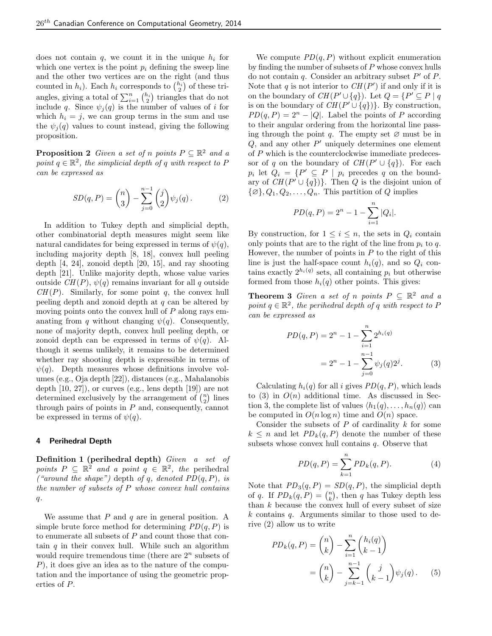does not contain  $q$ , we count it in the unique  $h_i$  for which one vertex is the point  $p_i$  defining the sweep line and the other two vertices are on the right (and thus counted in  $h_i$ ). Each  $h_i$  corresponds to  $\binom{h_i}{2}$  of these triangles, giving a total of  $\sum_{i=1}^{n} {h_i \choose 2}$  triangles that do not include q. Since  $\psi_i(q)$  is the number of values of i for which  $h_i = j$ , we can group terms in the sum and use the  $\psi_i(q)$  values to count instead, giving the following proposition.

**Proposition 2** Given a set of n points  $P \subseteq \mathbb{R}^2$  and a point  $q \in \mathbb{R}^2$ , the simplicial depth of q with respect to P can be expressed as

$$
SD(q, P) = \binom{n}{3} - \sum_{j=0}^{n-1} \binom{j}{2} \psi_j(q).
$$
 (2)

In addition to Tukey depth and simplicial depth, other combinatorial depth measures might seem like natural candidates for being expressed in terms of  $\psi(q)$ , including majority depth [8, 18], convex hull peeling depth [4, 24], zonoid depth [20, 15], and ray shooting depth [21]. Unlike majority depth, whose value varies outside  $CH(P)$ ,  $\psi(q)$  remains invariant for all q outside  $CH(P)$ . Similarly, for some point q, the convex hull peeling depth and zonoid depth at  $q$  can be altered by moving points onto the convex hull of  $P$  along rays emanating from q without changing  $\psi(q)$ . Consequently, none of majority depth, convex hull peeling depth, or zonoid depth can be expressed in terms of  $\psi(q)$ . Although it seems unlikely, it remains to be determined whether ray shooting depth is expressible in terms of  $\psi(q)$ . Depth measures whose definitions involve volumes (e.g., Oja depth [22]), distances (e.g., Mahalanobis depth [10, 27]), or curves (e.g., lens depth [19]) are not determined exclusively by the arrangement of  $\binom{n}{2}$  lines through pairs of points in  $P$  and, consequently, cannot be expressed in terms of  $\psi(q)$ .

## 4 Perihedral Depth

Definition 1 (perihedral depth) Given a set of points  $P \subseteq \mathbb{R}^2$  and a point  $q \in \mathbb{R}^2$ , the perihedral ("around the shape") depth of q, denoted  $PD(q, P)$ , is the number of subsets of  $P$  whose convex hull contains  $q$ .

We assume that  $P$  and  $q$  are in general position. A simple brute force method for determining  $PD(q, P)$  is to enumerate all subsets of P and count those that contain  $q$  in their convex hull. While such an algorithm would require tremendous time (there are  $2<sup>n</sup>$  subsets of  $P$ ), it does give an idea as to the nature of the computation and the importance of using the geometric properties of P.

We compute  $PD(q, P)$  without explicit enumeration by finding the number of subsets of P whose convex hulls do not contain  $q$ . Consider an arbitrary subset  $P'$  of  $P$ . Note that q is not interior to  $CH(P')$  if and only if it is on the boundary of  $CH(P' \cup \{q\})$ . Let  $Q = \{P' \subseteq P \mid q\}$ is on the boundary of  $CH(P' \cup \{q\})$ . By construction,  $PD(q, P) = 2^n - |Q|$ . Label the points of P according to their angular ordering from the horizontal line passing through the point q. The empty set  $\varnothing$  must be in  $Q$ , and any other  $P'$  uniquely determines one element of P which is the counterclockwise immediate predecessor of q on the boundary of  $CH(P' \cup \{q\})$ . For each  $p_i$  let  $Q_i = \{P' \subseteq P \mid p_i \text{ precedes } q \text{ on the bound-}\}\$ ary of  $CH(P' \cup \{q\})$ . Then Q is the disjoint union of  $\{\varnothing\}, Q_1, Q_2, \ldots, Q_n$ . This partition of Q implies

$$
PD(q, P) = 2n - 1 - \sum_{i=1}^{n} |Q_i|.
$$

By construction, for  $1 \leq i \leq n$ , the sets in  $Q_i$  contain only points that are to the right of the line from  $p_i$  to q. However, the number of points in  $P$  to the right of this line is just the half-space count  $h_i(q)$ , and so  $Q_i$  contains exactly  $2^{h_i(q)}$  sets, all containing  $p_i$  but otherwise formed from those  $h_i(q)$  other points. This gives:

**Theorem 3** Given a set of n points  $P \subseteq \mathbb{R}^2$  and a point  $q \in \mathbb{R}^2$ , the perihedral depth of q with respect to P can be expressed as

$$
PD(q, P) = 2n - 1 - \sum_{i=1}^{n} 2^{h_i(q)}
$$
  
= 2<sup>n</sup> - 1 -  $\sum_{j=0}^{n-1} \psi_j(q) 2^j$ . (3)

Calculating  $h_i(q)$  for all i gives  $PD(q, P)$ , which leads to (3) in  $O(n)$  additional time. As discussed in Section 3, the complete list of values  $\langle h_1(q), \ldots, h_n(q) \rangle$  can be computed in  $O(n \log n)$  time and  $O(n)$  space.

Consider the subsets of  $P$  of cardinality  $k$  for some  $k \leq n$  and let  $PD_k(q, P)$  denote the number of these subsets whose convex hull contains  $q$ . Observe that

$$
PD(q, P) = \sum_{k=1}^{n} PD_k(q, P).
$$
 (4)

Note that  $PD_3(q, P) = SD(q, P)$ , the simplicial depth of q. If  $PD_k(q, P) = {n \choose k}$ , then q has Tukey depth less than  $k$  because the convex hull of every subset of size k contains q. Arguments similar to those used to derive (2) allow us to write

$$
PD_k(q, P) = {n \choose k} - \sum_{i=1}^n {h_i(q) \choose k-1}
$$
  
=  ${n \choose k} - \sum_{j=k-1}^{n-1} {j \choose k-1} \psi_j(q).$  (5)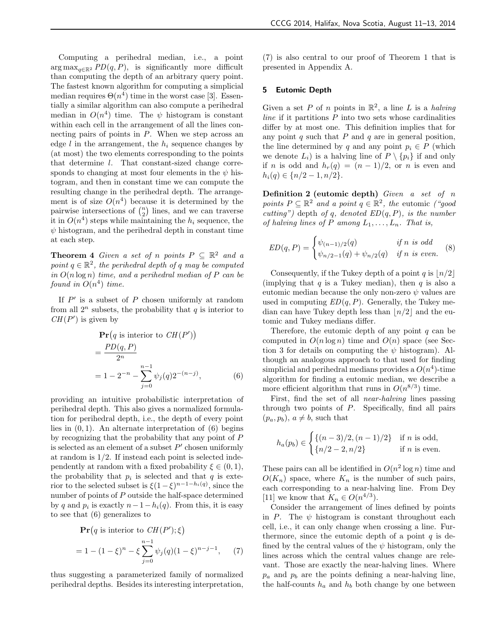Computing a perihedral median, i.e., a point  $\arg \max_{q \in \mathbb{R}^2} PD(q, P)$ , is significantly more difficult than computing the depth of an arbitrary query point. The fastest known algorithm for computing a simplicial median requires  $\Theta(n^4)$  time in the worst case [3]. Essentially a similar algorithm can also compute a perihedral median in  $O(n^4)$  time. The  $\psi$  histogram is constant within each cell in the arrangement of all the lines connecting pairs of points in  $P$ . When we step across an edge l in the arrangement, the  $h_i$  sequence changes by (at most) the two elements corresponding to the points that determine l. That constant-sized change corresponds to changing at most four elements in the  $\psi$  histogram, and then in constant time we can compute the resulting change in the perihedral depth. The arrangement is of size  $O(n^4)$  because it is determined by the pairwise intersections of  $\binom{n}{2}$  lines, and we can traverse it in  $O(n^4)$  steps while maintaining the  $h_i$  sequence, the  $\psi$  histogram, and the perihedral depth in constant time at each step.

**Theorem 4** Given a set of n points  $P \subseteq \mathbb{R}^2$  and a point  $q \in \mathbb{R}^2$ , the perihedral depth of q may be computed in  $O(n \log n)$  time, and a perihedral median of P can be found in  $O(n^4)$  time.

If  $P'$  is a subset of  $P$  chosen uniformly at random from all  $2^n$  subsets, the probability that q is interior to  $CH(P')$  is given by

$$
\begin{aligned} &\mathbf{Pr}\left(q \text{ is interior to } CH(P')\right) \\ &= \frac{PD(q, P)}{2^n} \\ &= 1 - 2^{-n} - \sum_{j=0}^{n-1} \psi_j(q) 2^{-(n-j)}, \end{aligned} \tag{6}
$$

providing an intuitive probabilistic interpretation of perihedral depth. This also gives a normalized formulation for perihedral depth, i.e., the depth of every point lies in  $(0, 1)$ . An alternate interpretation of  $(6)$  begins by recognizing that the probability that any point of  $P$ is selected as an element of a subset  $P'$  chosen uniformly at random is 1/2. If instead each point is selected independently at random with a fixed probability  $\xi \in (0,1)$ , the probability that  $p_i$  is selected and that  $q$  is exterior to the selected subset is  $\xi(1-\xi)^{n-1-h_i(q)}$ , since the number of points of P outside the half-space determined by q and  $p_i$  is exactly  $n-1-h_i(q)$ . From this, it is easy to see that (6) generalizes to

$$
\mathbf{Pr}(q \text{ is interior to } CH(P'); \xi)
$$
  
= 1 - (1 - \xi)^n - \xi \sum\_{j=0}^{n-1} \psi\_j(q)(1 - \xi)^{n-j-1}, (7)

thus suggesting a parameterized family of normalized perihedral depths. Besides its interesting interpretation,

(7) is also central to our proof of Theorem 1 that is presented in Appendix A.

## 5 Eutomic Depth

Given a set P of n points in  $\mathbb{R}^2$ , a line L is a halving *line* if it partitions  $P$  into two sets whose cardinalities differ by at most one. This definition implies that for any point  $q$  such that  $P$  and  $q$  are in general position, the line determined by q and any point  $p_i \in P$  (which we denote  $L_i$ ) is a halving line of  $P \setminus \{p_i\}$  if and only if *n* is odd and  $h_r(q) = (n-1)/2$ , or *n* is even and  $h_i(q) \in \{n/2-1, n/2\}.$ 

Definition 2 (eutomic depth) Given  $a$  set of  $n$ points  $P \subseteq \mathbb{R}^2$  and a point  $q \in \mathbb{R}^2$ , the eutomic ("good cutting") depth of q, denoted  $ED(q, P)$ , is the number of halving lines of P among  $L_1, \ldots, L_n$ . That is,

$$
ED(q, P) = \begin{cases} \psi_{(n-1)/2}(q) & \text{if } n \text{ is odd} \\ \psi_{n/2-1}(q) + \psi_{n/2}(q) & \text{if } n \text{ is even.} \end{cases}
$$
 (8)

Consequently, if the Tukey depth of a point q is  $\lfloor n/2 \rfloor$ (implying that  $q$  is a Tukey median), then  $q$  is also a eutomic median because the only non-zero  $\psi$  values are used in computing  $ED(q, P)$ . Generally, the Tukey median can have Tukey depth less than  $n/2$  and the eutomic and Tukey medians differ.

Therefore, the eutomic depth of any point  $q$  can be computed in  $O(n \log n)$  time and  $O(n)$  space (see Section 3 for details on computing the  $\psi$  histogram). Although an analogous approach to that used for finding simplicial and perihedral medians provides a  $O(n^4)$ -time algorithm for finding a eutomic median, we describe a more efficient algorithm that runs in  $O(n^{8/3})$  time.

First, find the set of all near-halving lines passing through two points of P. Specifically, find all pairs  $(p_a, p_b), a \neq b$ , such that

$$
h_a(p_b) \in \begin{cases} \{(n-3)/2, (n-1)/2\} & \text{if } n \text{ is odd,} \\ \{n/2 - 2, n/2\} & \text{if } n \text{ is even.} \end{cases}
$$

These pairs can all be identified in  $O(n^2 \log n)$  time and  $O(K_n)$  space, where  $K_n$  is the number of such pairs, each corresponding to a near-halving line. From Dey [11] we know that  $K_n \in O(n^{4/3})$ .

Consider the arrangement of lines defined by points in P. The  $\psi$  histogram is constant throughout each cell, i.e., it can only change when crossing a line. Furthermore, since the eutomic depth of a point  $q$  is defined by the central values of the  $\psi$  histogram, only the lines across which the central values change are relevant. Those are exactly the near-halving lines. Where  $p_a$  and  $p_b$  are the points defining a near-halving line, the half-counts  $h_a$  and  $h_b$  both change by one between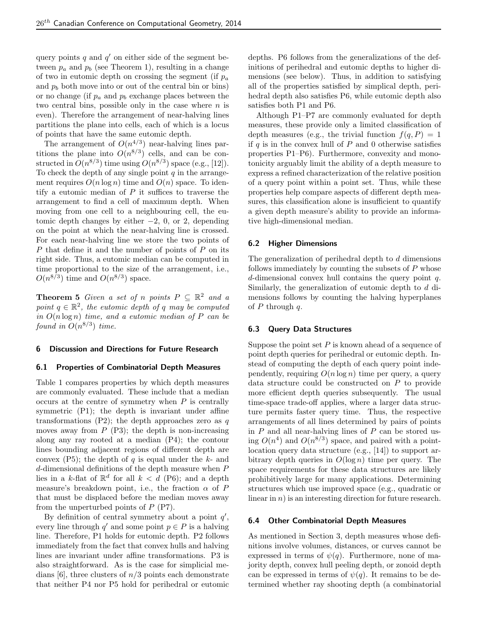query points  $q$  and  $q'$  on either side of the segment between  $p_a$  and  $p_b$  (see Theorem 1), resulting in a change of two in eutomic depth on crossing the segment (if  $p_a$ ) and  $p_b$  both move into or out of the central bin or bins) or no change (if  $p_a$  and  $p_b$  exchange places between the two central bins, possible only in the case where  $n$  is even). Therefore the arrangement of near-halving lines partitions the plane into cells, each of which is a locus of points that have the same eutomic depth.

The arrangement of  $O(n^{4/3})$  near-halving lines partitions the plane into  $O(n^{8/3})$  cells, and can be constructed in  $O(n^{8/3})$  time using  $O(n^{8/3})$  space (e.g., [12]). To check the depth of any single point  $q$  in the arrangement requires  $O(n \log n)$  time and  $O(n)$  space. To identify a eutomic median of  $P$  it suffices to traverse the arrangement to find a cell of maximum depth. When moving from one cell to a neighbouring cell, the eutomic depth changes by either  $-2$ , 0, or 2, depending on the point at which the near-halving line is crossed. For each near-halving line we store the two points of P that define it and the number of points of P on its right side. Thus, a eutomic median can be computed in time proportional to the size of the arrangement, i.e.,  $O(n^{8/3})$  time and  $O(n^{8/3})$  space.

**Theorem 5** Given a set of n points  $P \subseteq \mathbb{R}^2$  and a point  $q \in \mathbb{R}^2$ , the eutomic depth of q may be computed in  $O(n \log n)$  time, and a eutomic median of P can be found in  $O(n^{8/3})$  time.

#### 6 Discussion and Directions for Future Research

## 6.1 Properties of Combinatorial Depth Measures

Table 1 compares properties by which depth measures are commonly evaluated. These include that a median occurs at the centre of symmetry when  $P$  is centrally symmetric  $(P1)$ ; the depth is invariant under affine transformations  $(P2)$ ; the depth approaches zero as q moves away from  $P(P3)$ ; the depth is non-increasing along any ray rooted at a median (P4); the contour lines bounding adjacent regions of different depth are convex (P5); the depth of  $q$  is equal under the  $k$ - and d-dimensional definitions of the depth measure when P lies in a k-flat of  $\mathbb{R}^d$  for all  $k < d$  (P6); and a depth measure's breakdown point, i.e., the fraction  $\alpha$  of P that must be displaced before the median moves away from the unperturbed points of  $P$  (P7).

By definition of central symmetry about a point  $q'$ , every line through  $q'$  and some point  $p \in P$  is a halving line. Therefore, P1 holds for eutomic depth. P2 follows immediately from the fact that convex hulls and halving lines are invariant under affine transformations. P3 is also straightforward. As is the case for simplicial medians [6], three clusters of  $n/3$  points each demonstrate that neither P4 nor P5 hold for perihedral or eutomic depths. P6 follows from the generalizations of the definitions of perihedral and eutomic depths to higher dimensions (see below). Thus, in addition to satisfying all of the properties satisfied by simplical depth, perihedral depth also satisfies P6, while eutomic depth also satisfies both P1 and P6.

Although P1–P7 are commonly evaluated for depth measures, these provide only a limited classification of depth measures (e.g., the trivial function  $f(q, P) = 1$ if  $q$  is in the convex hull of  $P$  and 0 otherwise satisfies properties P1–P6). Furthermore, convexity and monotonicity arguably limit the ability of a depth measure to express a refined characterization of the relative position of a query point within a point set. Thus, while these properties help compare aspects of different depth measures, this classification alone is insufficient to quantify a given depth measure's ability to provide an informative high-dimensional median.

### 6.2 Higher Dimensions

The generalization of perihedral depth to d dimensions follows immediately by counting the subsets of  $P$  whose d-dimensional convex hull contains the query point q. Similarly, the generalization of eutomic depth to d dimensions follows by counting the halving hyperplanes of  $P$  through  $q$ .

# 6.3 Query Data Structures

Suppose the point set  $P$  is known ahead of a sequence of point depth queries for perihedral or eutomic depth. Instead of computing the depth of each query point independently, requiring  $O(n \log n)$  time per query, a query data structure could be constructed on P to provide more efficient depth queries subsequently. The usual time-space trade-off applies, where a larger data structure permits faster query time. Thus, the respective arrangements of all lines determined by pairs of points in  $P$  and all near-halving lines of  $P$  can be stored using  $O(n^4)$  and  $O(n^{8/3})$  space, and paired with a pointlocation query data structure (e.g., [14]) to support arbitrary depth queries in  $O(\log n)$  time per query. The space requirements for these data structures are likely prohibitively large for many applications. Determining structures which use improved space (e.g., quadratic or linear in  $n$ ) is an interesting direction for future research.

#### 6.4 Other Combinatorial Depth Measures

As mentioned in Section 3, depth measures whose definitions involve volumes, distances, or curves cannot be expressed in terms of  $\psi(q)$ . Furthermore, none of majority depth, convex hull peeling depth, or zonoid depth can be expressed in terms of  $\psi(q)$ . It remains to be determined whether ray shooting depth (a combinatorial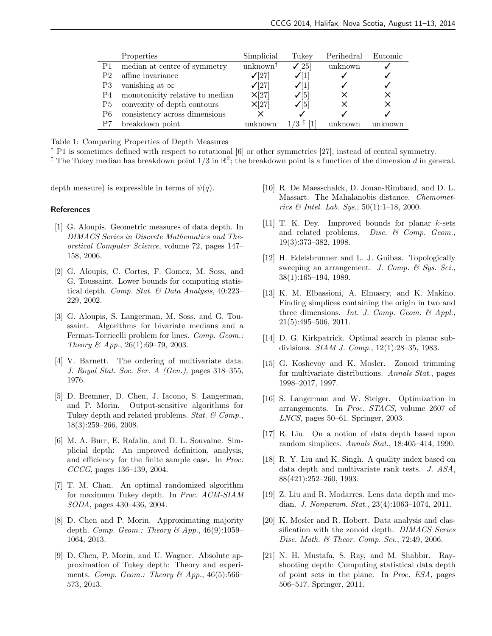|                | Properties                      | Simplicial           | Tukey             | Perihedral | Eutomic |
|----------------|---------------------------------|----------------------|-------------------|------------|---------|
| P <sub>1</sub> | median at centre of symmetry    | unknown <sup>†</sup> | $\mathcal{I}[25]$ | unknown    |         |
| P2             | affine invariance               | $\sqrt{27}$          | $\sqrt{ 1 }$      |            |         |
| P3             | vanishing at $\infty$           | $\sqrt{27}$          | $\sqrt{ 1 }$      |            |         |
| P4             | monotonicity relative to median | X[27]                | $\mathcal{V}[5]$  |            | ×       |
| P5             | convexity of depth contours     | X[27]                | $\mathcal{I}[5]$  | $\times$   | ×       |
| P6             | consistency across dimensions   |                      |                   |            |         |
|                | breakdown point                 | unknown              | $1/3$ ‡           |            |         |

Table 1: Comparing Properties of Depth Measures

<sup> $\dagger$ </sup> P1 is sometimes defined with respect to rotational [6] or other symmetries [27], instead of central symmetry.

<sup>‡</sup> The Tukey median has breakdown point  $1/3$  in  $\mathbb{R}^2$ ; the breakdown point is a function of the dimension d in general.

depth measure) is expressible in terms of  $\psi(q)$ .

#### References

- [1] G. Aloupis. Geometric measures of data depth. In DIMACS Series in Discrete Mathematics and Theoretical Computer Science, volume 72, pages 147– 158, 2006.
- [2] G. Aloupis, C. Cortes, F. Gomez, M. Soss, and G. Toussaint. Lower bounds for computing statistical depth. Comp. Stat. & Data Analysis, 40:223-229, 2002.
- [3] G. Aloupis, S. Langerman, M. Soss, and G. Toussaint. Algorithms for bivariate medians and a Fermat-Torricelli problem for lines. Comp. Geom.: Theory & App., 26(1):69–79, 2003.
- [4] V. Barnett. The ordering of multivariate data. J. Royal Stat. Soc. Ser. A (Gen.), pages 318–355, 1976.
- [5] D. Bremner, D. Chen, J. Iacono, S. Langerman, and P. Morin. Output-sensitive algorithms for Tukey depth and related problems. Stat.  $\mathcal{C}$  Comp., 18(3):259–266, 2008.
- [6] M. A. Burr, E. Rafalin, and D. L. Souvaine. Simplicial depth: An improved definition, analysis, and efficiency for the finite sample case. In Proc. CCCG, pages 136–139, 2004.
- [7] T. M. Chan. An optimal randomized algorithm for maximum Tukey depth. In Proc. ACM-SIAM SODA, pages 430–436, 2004.
- [8] D. Chen and P. Morin. Approximating majority depth. Comp. Geom.: Theory & App.,  $46(9):1059-$ 1064, 2013.
- [9] D. Chen, P. Morin, and U. Wagner. Absolute approximation of Tukey depth: Theory and experiments. Comp. Geom.: Theory & App.,  $46(5):566-$ 573, 2013.
- [10] R. De Maesschalck, D. Jouan-Rimbaud, and D. L. Massart. The Mahalanobis distance. Chemometrics  $\mathcal{C}$  Intel. Lab. Sys., 50(1):1-18, 2000.
- [11] T. K. Dey. Improved bounds for planar k-sets and related problems. Disc.  $\mathcal{B}$  Comp. Geom., 19(3):373–382, 1998.
- [12] H. Edelsbrunner and L. J. Guibas. Topologically sweeping an arrangement. J. Comp.  $\mathcal{C}$  Sys. Sci., 38(1):165–194, 1989.
- [13] K. M. Elbassioni, A. Elmasry, and K. Makino. Finding simplices containing the origin in two and three dimensions. Int. J. Comp. Geom.  $\mathcal{C}$  Appl., 21(5):495–506, 2011.
- [14] D. G. Kirkpatrick. Optimal search in planar subdivisions. SIAM J. Comp., 12(1):28–35, 1983.
- [15] G. Koshevoy and K. Mosler. Zonoid trimming for multivariate distributions. Annals Stat., pages 1998–2017, 1997.
- [16] S. Langerman and W. Steiger. Optimization in arrangements. In Proc. STACS, volume 2607 of LNCS, pages 50–61. Springer, 2003.
- [17] R. Liu. On a notion of data depth based upon random simplices. Annals Stat., 18:405–414, 1990.
- [18] R. Y. Liu and K. Singh. A quality index based on data depth and multivariate rank tests. J. ASA, 88(421):252–260, 1993.
- [19] Z. Liu and R. Modarres. Lens data depth and median. J. Nonparam. Stat., 23(4):1063–1074, 2011.
- [20] K. Mosler and R. Hobert. Data analysis and classification with the zonoid depth. DIMACS Series Disc. Math. & Theor. Comp. Sci., 72:49, 2006.
- [21] N. H. Mustafa, S. Ray, and M. Shabbir. Rayshooting depth: Computing statistical data depth of point sets in the plane. In Proc. ESA, pages 506–517. Springer, 2011.